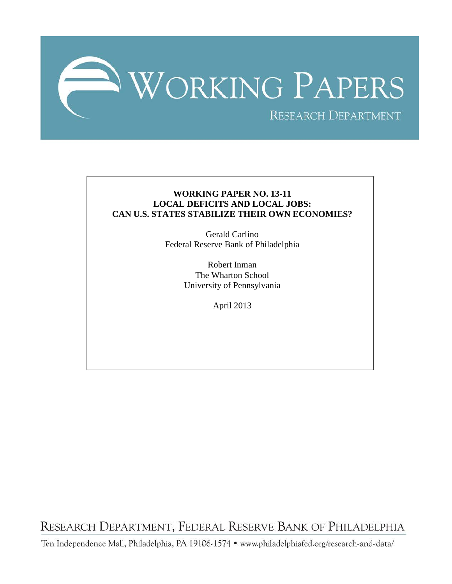

### **WORKING PAPER NO. 13-11 LOCAL DEFICITS AND LOCAL JOBS: CAN U.S. STATES STABILIZE THEIR OWN ECONOMIES?**

Gerald Carlino Federal Reserve Bank of Philadelphia

> Robert Inman The Wharton School University of Pennsylvania

> > April 2013

RESEARCH DEPARTMENT, FEDERAL RESERVE BANK OF PHILADELPHIA

Ten Independence Mall, Philadelphia, PA 19106-1574 • www.philadelphiafed.org/research-and-data/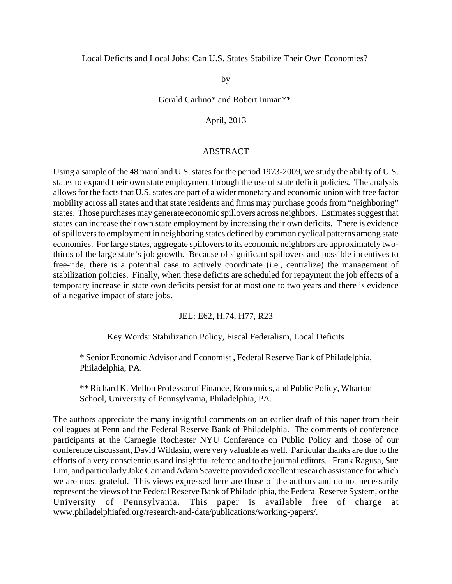#### Local Deficits and Local Jobs: Can U.S. States Stabilize Their Own Economies?

by

#### Gerald Carlino\* and Robert Inman\*\*

#### April, 2013

#### ABSTRACT

Using a sample of the 48 mainland U.S. states for the period 1973-2009, we study the ability of U.S. states to expand their own state employment through the use of state deficit policies. The analysis allows for the facts that U.S. states are part of a wider monetary and economic union with free factor mobility across all states and that state residents and firms may purchase goods from "neighboring" states. Those purchases may generate economic spillovers across neighbors. Estimates suggest that states can increase their own state employment by increasing their own deficits. There is evidence of spillovers to employment in neighboring states defined by common cyclical patterns among state economies. For large states, aggregate spillovers to its economic neighbors are approximately twothirds of the large state's job growth. Because of significant spillovers and possible incentives to free-ride, there is a potential case to actively coordinate (i.e., centralize) the management of stabilization policies. Finally, when these deficits are scheduled for repayment the job effects of a temporary increase in state own deficits persist for at most one to two years and there is evidence of a negative impact of state jobs.

#### JEL: E62, H,74, H77, R23

#### Key Words: Stabilization Policy, Fiscal Federalism, Local Deficits

\* Senior Economic Advisor and Economist , Federal Reserve Bank of Philadelphia, Philadelphia, PA.

\*\* Richard K. Mellon Professor of Finance, Economics, and Public Policy, Wharton School, University of Pennsylvania, Philadelphia, PA.

The authors appreciate the many insightful comments on an earlier draft of this paper from their colleagues at Penn and the Federal Reserve Bank of Philadelphia. The comments of conference participants at the Carnegie Rochester NYU Conference on Public Policy and those of our conference discussant, David Wildasin, were very valuable as well. Particular thanks are due to the efforts of a very conscientious and insightful referee and to the journal editors. Frank Ragusa, Sue Lim, and particularly Jake Carr and Adam Scavette provided excellent research assistance for which we are most grateful. This views expressed here are those of the authors and do not necessarily represent the views of the Federal Reserve Bank of Philadelphia, the Federal Reserve System, or the University of Pennsylvania. This paper is available free of charge at www.philadelphiafed.org/research-and-data/publications/working-papers/.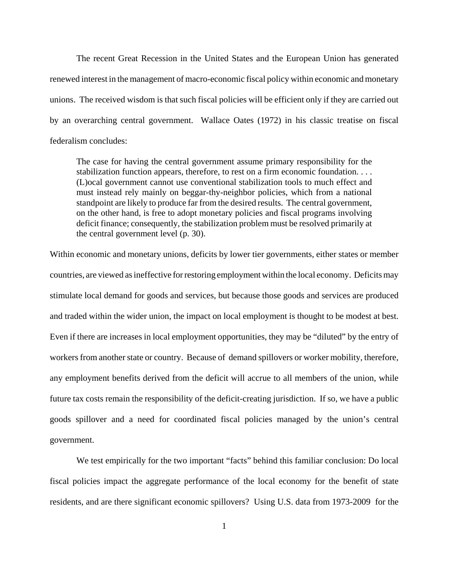The recent Great Recession in the United States and the European Union has generated renewed interest in the management of macro-economic fiscal policy within economic and monetary unions. The received wisdom is that such fiscal policies will be efficient only if they are carried out by an overarching central government. Wallace Oates (1972) in his classic treatise on fiscal federalism concludes:

The case for having the central government assume primary responsibility for the stabilization function appears, therefore, to rest on a firm economic foundation. . . . (L)ocal government cannot use conventional stabilization tools to much effect and must instead rely mainly on beggar-thy-neighbor policies, which from a national standpoint are likely to produce far from the desired results. The central government, on the other hand, is free to adopt monetary policies and fiscal programs involving deficit finance; consequently, the stabilization problem must be resolved primarily at the central government level (p. 30).

Within economic and monetary unions, deficits by lower tier governments, either states or member countries, are viewed as ineffective for restoring employment within the local economy. Deficits may stimulate local demand for goods and services, but because those goods and services are produced and traded within the wider union, the impact on local employment is thought to be modest at best. Even if there are increases in local employment opportunities, they may be "diluted" by the entry of workers from another state or country. Because of demand spillovers or worker mobility, therefore, any employment benefits derived from the deficit will accrue to all members of the union, while future tax costs remain the responsibility of the deficit-creating jurisdiction. If so, we have a public goods spillover and a need for coordinated fiscal policies managed by the union's central government.

 We test empirically for the two important "facts" behind this familiar conclusion: Do local fiscal policies impact the aggregate performance of the local economy for the benefit of state residents, and are there significant economic spillovers? Using U.S. data from 1973-2009 for the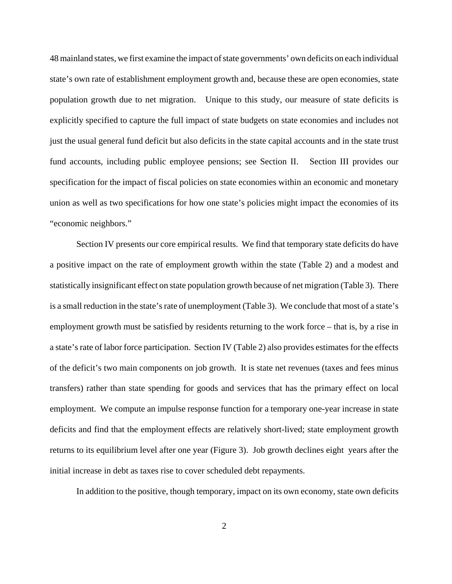48 mainland states, we first examine the impact of state governments' own deficits on each individual state's own rate of establishment employment growth and, because these are open economies, state population growth due to net migration. Unique to this study, our measure of state deficits is explicitly specified to capture the full impact of state budgets on state economies and includes not just the usual general fund deficit but also deficits in the state capital accounts and in the state trust fund accounts, including public employee pensions; see Section II. Section III provides our specification for the impact of fiscal policies on state economies within an economic and monetary union as well as two specifications for how one state's policies might impact the economies of its "economic neighbors."

Section IV presents our core empirical results. We find that temporary state deficits do have a positive impact on the rate of employment growth within the state (Table 2) and a modest and statistically insignificant effect on state population growth because of net migration (Table 3). There is a small reduction in the state's rate of unemployment (Table 3). We conclude that most of a state's employment growth must be satisfied by residents returning to the work force – that is, by a rise in a state's rate of labor force participation. Section IV (Table 2) also provides estimates for the effects of the deficit's two main components on job growth. It is state net revenues (taxes and fees minus transfers) rather than state spending for goods and services that has the primary effect on local employment. We compute an impulse response function for a temporary one-year increase in state deficits and find that the employment effects are relatively short-lived; state employment growth returns to its equilibrium level after one year (Figure 3). Job growth declines eight years after the initial increase in debt as taxes rise to cover scheduled debt repayments.

In addition to the positive, though temporary, impact on its own economy, state own deficits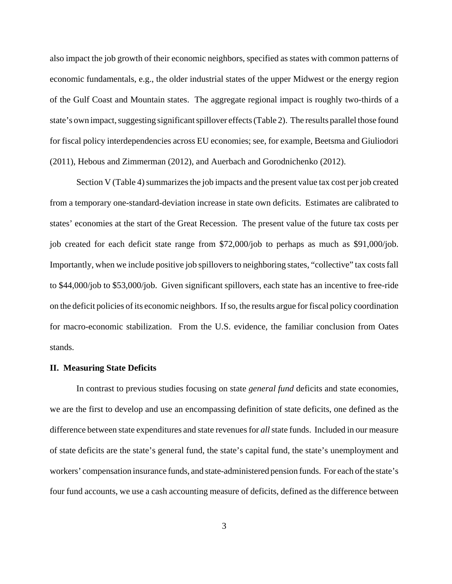also impact the job growth of their economic neighbors, specified as states with common patterns of economic fundamentals, e.g., the older industrial states of the upper Midwest or the energy region of the Gulf Coast and Mountain states. The aggregate regional impact is roughly two-thirds of a state's own impact, suggesting significant spillover effects (Table 2). The results parallel those found for fiscal policy interdependencies across EU economies; see, for example, Beetsma and Giuliodori (2011), Hebous and Zimmerman (2012), and Auerbach and Gorodnichenko (2012).

Section V (Table 4) summarizes the job impacts and the present value tax cost per job created from a temporary one-standard-deviation increase in state own deficits. Estimates are calibrated to states' economies at the start of the Great Recession. The present value of the future tax costs per job created for each deficit state range from \$72,000/job to perhaps as much as \$91,000/job. Importantly, when we include positive job spillovers to neighboring states, "collective" tax costs fall to \$44,000/job to \$53,000/job. Given significant spillovers, each state has an incentive to free-ride on the deficit policies of its economic neighbors. If so, the results argue for fiscal policy coordination for macro-economic stabilization. From the U.S. evidence, the familiar conclusion from Oates stands.

#### **II. Measuring State Deficits**

In contrast to previous studies focusing on state *general fund* deficits and state economies, we are the first to develop and use an encompassing definition of state deficits, one defined as the difference between state expenditures and state revenues for *all* state funds. Included in our measure of state deficits are the state's general fund, the state's capital fund, the state's unemployment and workers' compensation insurance funds, and state-administered pension funds. For each of the state's four fund accounts, we use a cash accounting measure of deficits, defined as the difference between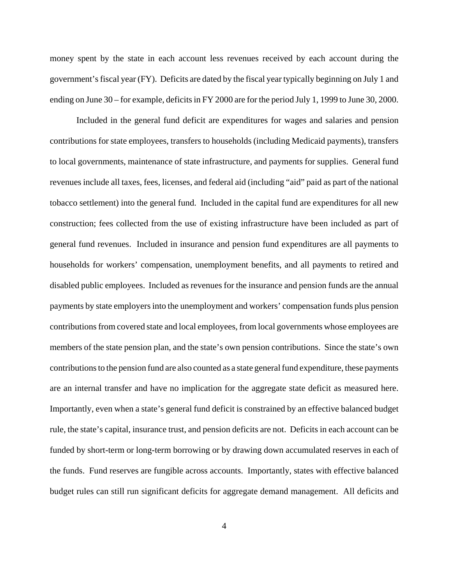money spent by the state in each account less revenues received by each account during the government's fiscal year (FY). Deficits are dated by the fiscal year typically beginning on July 1 and ending on June 30 – for example, deficits in FY 2000 are for the period July 1, 1999 to June 30, 2000.

Included in the general fund deficit are expenditures for wages and salaries and pension contributions for state employees, transfers to households (including Medicaid payments), transfers to local governments, maintenance of state infrastructure, and payments for supplies. General fund revenues include all taxes, fees, licenses, and federal aid (including "aid" paid as part of the national tobacco settlement) into the general fund. Included in the capital fund are expenditures for all new construction; fees collected from the use of existing infrastructure have been included as part of general fund revenues. Included in insurance and pension fund expenditures are all payments to households for workers' compensation, unemployment benefits, and all payments to retired and disabled public employees. Included as revenues for the insurance and pension funds are the annual payments by state employers into the unemployment and workers' compensation funds plus pension contributions from covered state and local employees, from local governments whose employees are members of the state pension plan, and the state's own pension contributions. Since the state's own contributions to the pension fund are also counted as a state general fund expenditure, these payments are an internal transfer and have no implication for the aggregate state deficit as measured here. Importantly, even when a state's general fund deficit is constrained by an effective balanced budget rule, the state's capital, insurance trust, and pension deficits are not. Deficits in each account can be funded by short-term or long-term borrowing or by drawing down accumulated reserves in each of the funds. Fund reserves are fungible across accounts. Importantly, states with effective balanced budget rules can still run significant deficits for aggregate demand management. All deficits and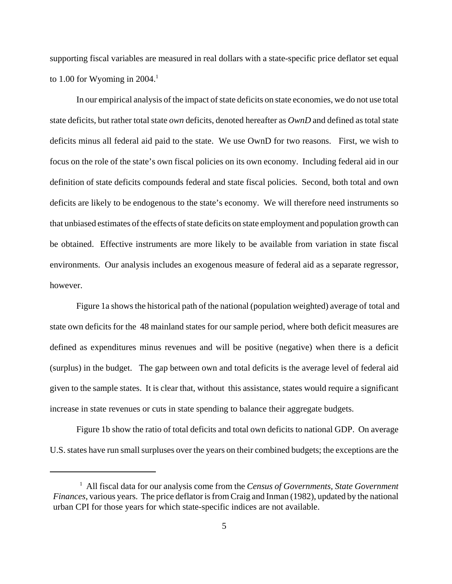supporting fiscal variables are measured in real dollars with a state-specific price deflator set equal to 1.00 for Wyoming in 2004. $^1$ 

In our empirical analysis of the impact of state deficits on state economies, we do not use total state deficits, but rather total state *own* deficits, denoted hereafter as *OwnD* and defined as total state deficits minus all federal aid paid to the state. We use OwnD for two reasons. First, we wish to focus on the role of the state's own fiscal policies on its own economy. Including federal aid in our definition of state deficits compounds federal and state fiscal policies. Second, both total and own deficits are likely to be endogenous to the state's economy. We will therefore need instruments so that unbiased estimates of the effects of state deficits on state employment and population growth can be obtained. Effective instruments are more likely to be available from variation in state fiscal environments. Our analysis includes an exogenous measure of federal aid as a separate regressor, however.

 Figure 1a shows the historical path of the national (population weighted) average of total and state own deficits for the 48 mainland states for our sample period, where both deficit measures are defined as expenditures minus revenues and will be positive (negative) when there is a deficit (surplus) in the budget. The gap between own and total deficits is the average level of federal aid given to the sample states. It is clear that, without this assistance, states would require a significant increase in state revenues or cuts in state spending to balance their aggregate budgets.

Figure 1b show the ratio of total deficits and total own deficits to national GDP. On average U.S. states have run small surpluses over the years on their combined budgets; the exceptions are the

<sup>1</sup> All fiscal data for our analysis come from the *Census of Governments, State Government Finances*, various years. The price deflator is from Craig and Inman (1982), updated by the national urban CPI for those years for which state-specific indices are not available.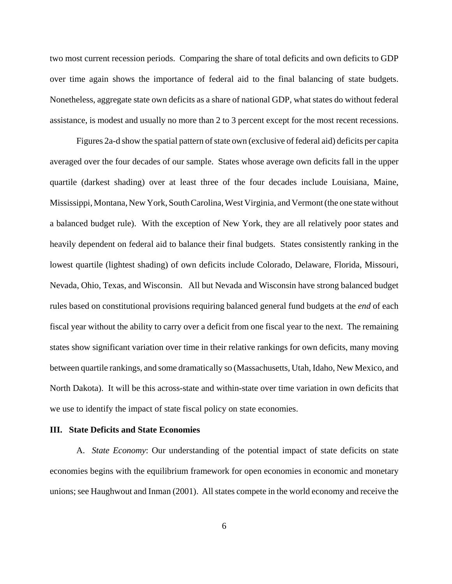two most current recession periods. Comparing the share of total deficits and own deficits to GDP over time again shows the importance of federal aid to the final balancing of state budgets. Nonetheless, aggregate state own deficits as a share of national GDP, what states do without federal assistance, is modest and usually no more than 2 to 3 percent except for the most recent recessions.

Figures 2a-d show the spatial pattern of state own (exclusive of federal aid) deficits per capita averaged over the four decades of our sample. States whose average own deficits fall in the upper quartile (darkest shading) over at least three of the four decades include Louisiana, Maine, Mississippi, Montana, New York, South Carolina, West Virginia, and Vermont (the one state without a balanced budget rule). With the exception of New York, they are all relatively poor states and heavily dependent on federal aid to balance their final budgets. States consistently ranking in the lowest quartile (lightest shading) of own deficits include Colorado, Delaware, Florida, Missouri, Nevada, Ohio, Texas, and Wisconsin. All but Nevada and Wisconsin have strong balanced budget rules based on constitutional provisions requiring balanced general fund budgets at the *end* of each fiscal year without the ability to carry over a deficit from one fiscal year to the next. The remaining states show significant variation over time in their relative rankings for own deficits, many moving between quartile rankings, and some dramatically so (Massachusetts, Utah, Idaho, New Mexico, and North Dakota). It will be this across-state and within-state over time variation in own deficits that we use to identify the impact of state fiscal policy on state economies.

#### **III. State Deficits and State Economies**

A. *State Economy*: Our understanding of the potential impact of state deficits on state economies begins with the equilibrium framework for open economies in economic and monetary unions; see Haughwout and Inman (2001). All states compete in the world economy and receive the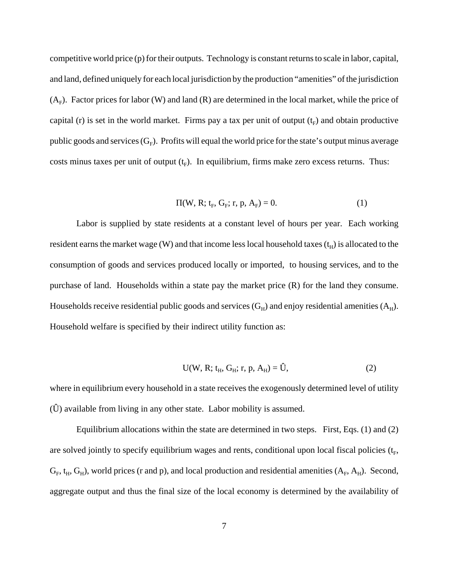competitive world price (p) for their outputs. Technology is constant returns to scale in labor, capital, and land, defined uniquely for each local jurisdiction by the production "amenities" of the jurisdiction  $(A<sub>F</sub>)$ . Factor prices for labor (W) and land (R) are determined in the local market, while the price of capital (r) is set in the world market. Firms pay a tax per unit of output  $(t_F)$  and obtain productive public goods and services  $(G_F)$ . Profits will equal the world price for the state's output minus average costs minus taxes per unit of output  $(t_F)$ . In equilibrium, firms make zero excess returns. Thus:

$$
\Pi(W, R; t_F, G_F; r, p, A_F) = 0.
$$
 (1)

Labor is supplied by state residents at a constant level of hours per year. Each working resident earns the market wage (W) and that income less local household taxes  $(t_H)$  is allocated to the consumption of goods and services produced locally or imported, to housing services, and to the purchase of land. Households within a state pay the market price (R) for the land they consume. Households receive residential public goods and services  $(G_H)$  and enjoy residential amenities  $(A_H)$ . Household welfare is specified by their indirect utility function as:

$$
U(W, R; tH, GH; r, p, AH) = \hat{U},
$$
 (2)

where in equilibrium every household in a state receives the exogenously determined level of utility (Û) available from living in any other state. Labor mobility is assumed.

Equilibrium allocations within the state are determined in two steps. First, Eqs. (1) and (2) are solved jointly to specify equilibrium wages and rents, conditional upon local fiscal policies  $(t_F, t_F)$  $G_F$ ,  $t_H$ ,  $G_H$ ), world prices (r and p), and local production and residential amenities ( $A_F$ ,  $A_H$ ). Second, aggregate output and thus the final size of the local economy is determined by the availability of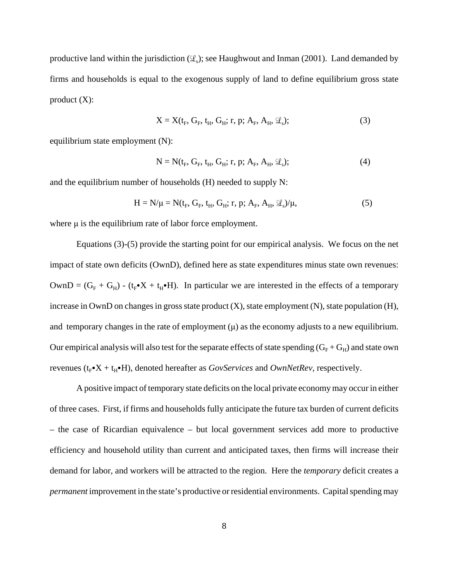productive land within the jurisdiction  $(\mathcal{L})$ ; see Haughwout and Inman (2001). Land demanded by firms and households is equal to the exogenous supply of land to define equilibrium gross state product  $(X)$ :

$$
X = X(t_F, G_F, t_H, G_H; r, p; A_F, A_H, \mathcal{L}_s); \tag{3}
$$

equilibrium state employment (N):

$$
N = N(t_F, G_F, t_H, G_H; r, p; A_F, A_H, \mathcal{Q}_s); \tag{4}
$$

and the equilibrium number of households (H) needed to supply N:

$$
H = N/\mu = N(t_F, G_F, t_H, G_H; r, p; A_F, A_H, \mathcal{L}_s)/\mu,
$$
\n(5)

where μ is the equilibrium rate of labor force employment.

Equations (3)-(5) provide the starting point for our empirical analysis. We focus on the net impact of state own deficits (OwnD), defined here as state expenditures minus state own revenues: OwnD =  $(G_F + G_H)$  - ( $t_F \cdot X + t_H \cdot H$ ). In particular we are interested in the effects of a temporary increase in OwnD on changes in gross state product (X), state employment (N), state population (H), and temporary changes in the rate of employment  $(\mu)$  as the economy adjusts to a new equilibrium. Our empirical analysis will also test for the separate effects of state spending  $(G_F + G_H)$  and state own revenues ( $t_F \bullet X + t_H \bullet H$ ), denoted hereafter as *GovServices* and *OwnNetRev*, respectively.

A positive impact of temporary state deficits on the local private economy may occur in either of three cases. First, if firms and households fully anticipate the future tax burden of current deficits – the case of Ricardian equivalence – but local government services add more to productive efficiency and household utility than current and anticipated taxes, then firms will increase their demand for labor, and workers will be attracted to the region. Here the *temporary* deficit creates a *permanent* improvement in the state's productive or residential environments. Capital spending may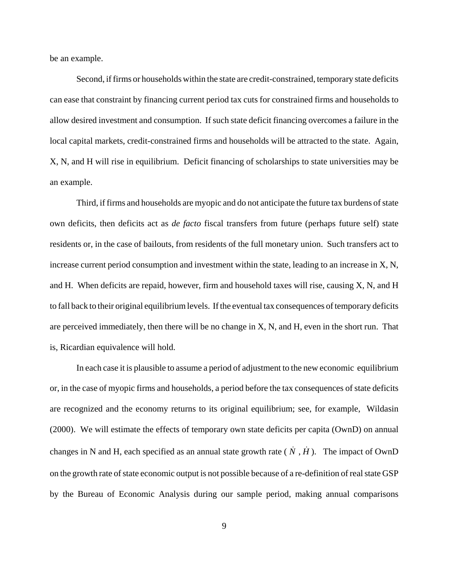be an example.

Second, if firms or households within the state are credit-constrained, temporary state deficits can ease that constraint by financing current period tax cuts for constrained firms and households to allow desired investment and consumption. If such state deficit financing overcomes a failure in the local capital markets, credit-constrained firms and households will be attracted to the state. Again, X, N, and H will rise in equilibrium. Deficit financing of scholarships to state universities may be an example.

Third, if firms and households are myopic and do not anticipate the future tax burdens of state own deficits, then deficits act as *de facto* fiscal transfers from future (perhaps future self) state residents or, in the case of bailouts, from residents of the full monetary union. Such transfers act to increase current period consumption and investment within the state, leading to an increase in X, N, and H. When deficits are repaid, however, firm and household taxes will rise, causing X, N, and H to fall back to their original equilibrium levels. If the eventual tax consequences of temporary deficits are perceived immediately, then there will be no change in  $X$ ,  $N$ , and  $H$ , even in the short run. That is, Ricardian equivalence will hold.

In each case it is plausible to assume a period of adjustment to the new economic equilibrium or, in the case of myopic firms and households, a period before the tax consequences of state deficits are recognized and the economy returns to its original equilibrium; see, for example, Wildasin (2000). We will estimate the effects of temporary own state deficits per capita (OwnD) on annual changes in N and H, each specified as an annual state growth rate  $(N, H)$ . The impact of OwnD on the growth rate of state economic output is not possible because of a re-definition of real state GSP by the Bureau of Economic Analysis during our sample period, making annual comparisons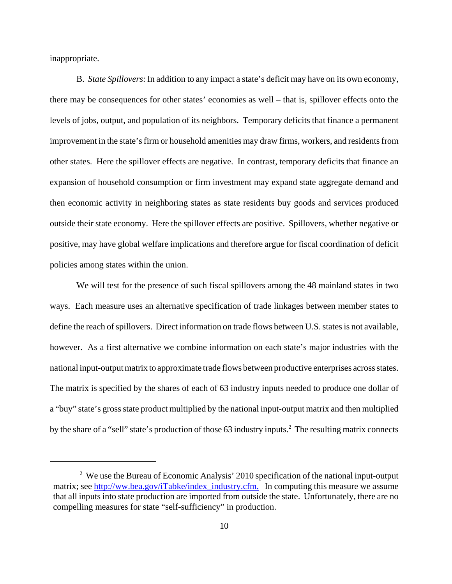inappropriate.

B. *State Spillovers*: In addition to any impact a state's deficit may have on its own economy, there may be consequences for other states' economies as well – that is, spillover effects onto the levels of jobs, output, and population of its neighbors. Temporary deficits that finance a permanent improvement in the state's firm or household amenities may draw firms, workers, and residents from other states. Here the spillover effects are negative. In contrast, temporary deficits that finance an expansion of household consumption or firm investment may expand state aggregate demand and then economic activity in neighboring states as state residents buy goods and services produced outside their state economy. Here the spillover effects are positive. Spillovers, whether negative or positive, may have global welfare implications and therefore argue for fiscal coordination of deficit policies among states within the union.

We will test for the presence of such fiscal spillovers among the 48 mainland states in two ways. Each measure uses an alternative specification of trade linkages between member states to define the reach of spillovers. Direct information on trade flows between U.S. states is not available, however. As a first alternative we combine information on each state's major industries with the national input-output matrix to approximate trade flows between productive enterprises across states. The matrix is specified by the shares of each of 63 industry inputs needed to produce one dollar of a "buy" state's gross state product multiplied by the national input-output matrix and then multiplied by the share of a "sell" state's production of those 63 industry inputs.<sup>2</sup> The resulting matrix connects

 $2$  We use the Bureau of Economic Analysis' 2010 specification of the national input-output matrix; see http://ww.bea.gov/iTabke/index\_industry.cfm. In computing this measure we assume that all inputs into state production are imported from outside the state. Unfortunately, there are no compelling measures for state "self-sufficiency" in production.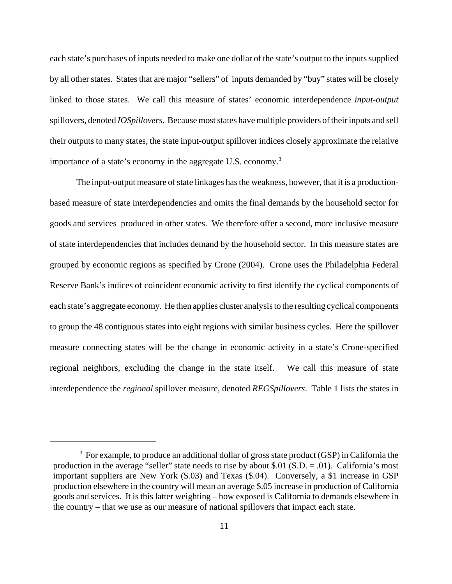each state's purchases of inputs needed to make one dollar of the state's output to the inputs supplied by all other states. States that are major "sellers" of inputs demanded by "buy" states will be closely linked to those states. We call this measure of states' economic interdependence *input-output* spillovers, denoted *IOSpillovers*. Because most states have multiple providers of their inputs and sell their outputs to many states, the state input-output spillover indices closely approximate the relative importance of a state's economy in the aggregate U.S. economy.<sup>3</sup>

The input-output measure of state linkages has the weakness, however, that it is a productionbased measure of state interdependencies and omits the final demands by the household sector for goods and services produced in other states. We therefore offer a second, more inclusive measure of state interdependencies that includes demand by the household sector. In this measure states are grouped by economic regions as specified by Crone (2004). Crone uses the Philadelphia Federal Reserve Bank's indices of coincident economic activity to first identify the cyclical components of each state's aggregate economy. He then applies cluster analysis to the resulting cyclical components to group the 48 contiguous states into eight regions with similar business cycles. Here the spillover measure connecting states will be the change in economic activity in a state's Crone-specified regional neighbors, excluding the change in the state itself. We call this measure of state interdependence the *regional* spillover measure, denoted *REGSpillovers*. Table 1 lists the states in

 $3$  For example, to produce an additional dollar of gross state product (GSP) in California the production in the average "seller" state needs to rise by about \$.01 (S.D. = .01). California's most important suppliers are New York (\$.03) and Texas (\$.04). Conversely, a \$1 increase in GSP production elsewhere in the country will mean an average \$.05 increase in production of California goods and services. It is this latter weighting – how exposed is California to demands elsewhere in the country – that we use as our measure of national spillovers that impact each state.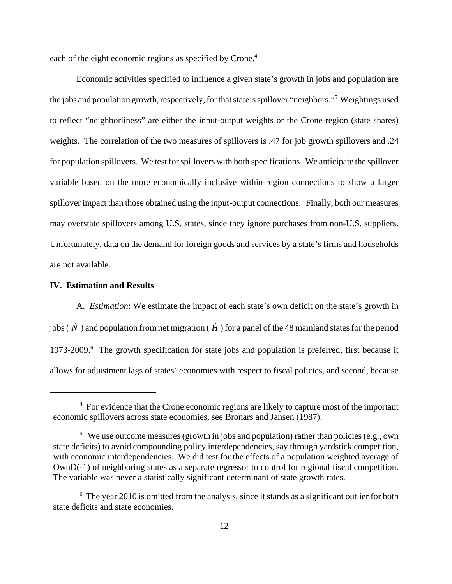each of the eight economic regions as specified by Crone.<sup>4</sup>

Economic activities specified to influence a given state's growth in jobs and population are the jobs and population growth, respectively, for that state's spillover "neighbors."5 Weightings used to reflect "neighborliness" are either the input-output weights or the Crone-region (state shares) weights. The correlation of the two measures of spillovers is .47 for job growth spillovers and .24 for population spillovers. We test for spillovers with both specifications. We anticipate the spillover variable based on the more economically inclusive within-region connections to show a larger spillover impact than those obtained using the input-output connections. Finally, both our measures may overstate spillovers among U.S. states, since they ignore purchases from non-U.S. suppliers. Unfortunately, data on the demand for foreign goods and services by a state's firms and households are not available.

#### **IV. Estimation and Results**

A. *Estimation*: We estimate the impact of each state's own deficit on the state's growth in jobs ( $\overline{N}$ ) and population from net migration ( $\overline{H}$ ) for a panel of the 48 mainland states for the period 1973-2009.<sup>6</sup> The growth specification for state jobs and population is preferred, first because it allows for adjustment lags of states' economies with respect to fiscal policies, and second, because

<sup>&</sup>lt;sup>4</sup> For evidence that the Crone economic regions are likely to capture most of the important economic spillovers across state economies, see Bronars and Jansen (1987).

<sup>&</sup>lt;sup>5</sup> We use outcome measures (growth in jobs and population) rather than policies (e.g., own state deficits) to avoid compounding policy interdependencies, say through yardstick competition, with economic interdependencies. We did test for the effects of a population weighted average of OwnD(-1) of neighboring states as a separate regressor to control for regional fiscal competition. The variable was never a statistically significant determinant of state growth rates.

<sup>&</sup>lt;sup>6</sup> The year 2010 is omitted from the analysis, since it stands as a significant outlier for both state deficits and state economies.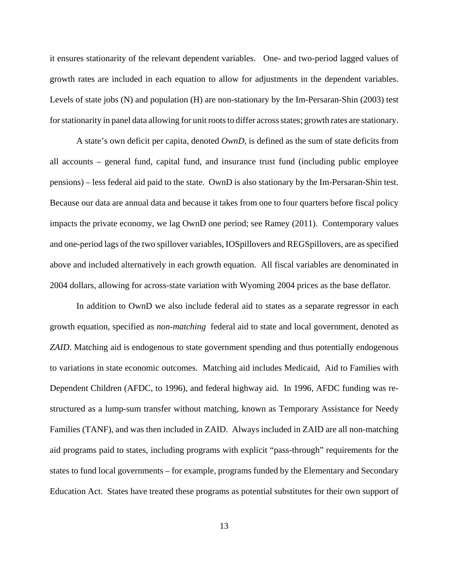it ensures stationarity of the relevant dependent variables. One- and two-period lagged values of growth rates are included in each equation to allow for adjustments in the dependent variables. Levels of state jobs (N) and population (H) are non-stationary by the Im-Persaran-Shin (2003) test for stationarity in panel data allowing for unit roots to differ across states; growth rates are stationary.

A state's own deficit per capita, denoted *OwnD*, is defined as the sum of state deficits from all accounts – general fund, capital fund, and insurance trust fund (including public employee pensions) – less federal aid paid to the state. OwnD is also stationary by the Im-Persaran-Shin test. Because our data are annual data and because it takes from one to four quarters before fiscal policy impacts the private economy, we lag OwnD one period; see Ramey (2011). Contemporary values and one-period lags of the two spillover variables, IOSpillovers and REGSpillovers, are as specified above and included alternatively in each growth equation. All fiscal variables are denominated in 2004 dollars, allowing for across-state variation with Wyoming 2004 prices as the base deflator.

In addition to OwnD we also include federal aid to states as a separate regressor in each growth equation, specified as *non-matching* federal aid to state and local government, denoted as *ZAID*. Matching aid is endogenous to state government spending and thus potentially endogenous to variations in state economic outcomes. Matching aid includes Medicaid, Aid to Families with Dependent Children (AFDC, to 1996), and federal highway aid. In 1996, AFDC funding was restructured as a lump-sum transfer without matching, known as Temporary Assistance for Needy Families (TANF), and was then included in ZAID. Always included in ZAID are all non-matching aid programs paid to states, including programs with explicit "pass-through" requirements for the states to fund local governments – for example, programs funded by the Elementary and Secondary Education Act. States have treated these programs as potential substitutes for their own support of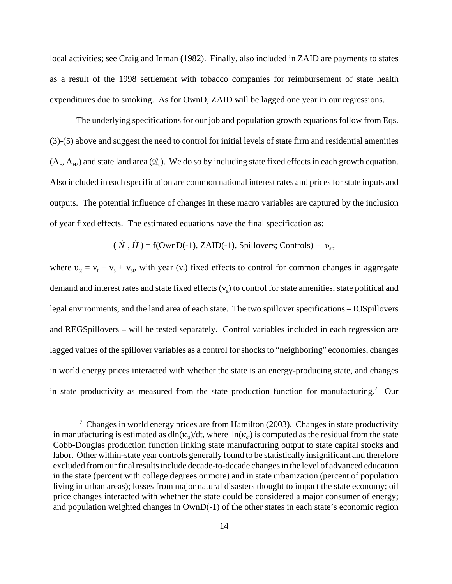local activities; see Craig and Inman (1982). Finally, also included in ZAID are payments to states as a result of the 1998 settlement with tobacco companies for reimbursement of state health expenditures due to smoking. As for OwnD, ZAID will be lagged one year in our regressions.

The underlying specifications for our job and population growth equations follow from Eqs. (3)-(5) above and suggest the need to control for initial levels of state firm and residential amenities  $(A_F, A_H)$  and state land area  $(\mathcal{L}_s)$ . We do so by including state fixed effects in each growth equation. Also included in each specification are common national interest rates and prices for state inputs and outputs. The potential influence of changes in these macro variables are captured by the inclusion of year fixed effects. The estimated equations have the final specification as:

$$
(\dot{N}, \dot{H}) = f(OwnD(-1), ZAID(-1), Spillovers; Controls) + vst,
$$

where  $v_{st} = v_t + v_s + v_{st}$ , with year ( $v_t$ ) fixed effects to control for common changes in aggregate demand and interest rates and state fixed effects  $(v<sub>s</sub>)$  to control for state amenities, state political and legal environments, and the land area of each state. The two spillover specifications – IOSpillovers and REGSpillovers – will be tested separately. Control variables included in each regression are lagged values of the spillover variables as a control for shocks to "neighboring" economies, changes in world energy prices interacted with whether the state is an energy-producing state, and changes in state productivity as measured from the state production function for manufacturing.<sup>7</sup> Our

 $^7$  Changes in world energy prices are from Hamilton (2003). Changes in state productivity in manufacturing is estimated as  $d\ln(\kappa_{st})/dt$ , where  $\ln(\kappa_{st})$  is computed as the residual from the state Cobb-Douglas production function linking state manufacturing output to state capital stocks and labor. Other within-state year controls generally found to be statistically insignificant and therefore excluded from our final results include decade-to-decade changes in the level of advanced education in the state (percent with college degrees or more) and in state urbanization (percent of population living in urban areas); losses from major natural disasters thought to impact the state economy; oil price changes interacted with whether the state could be considered a major consumer of energy; and population weighted changes in OwnD(-1) of the other states in each state's economic region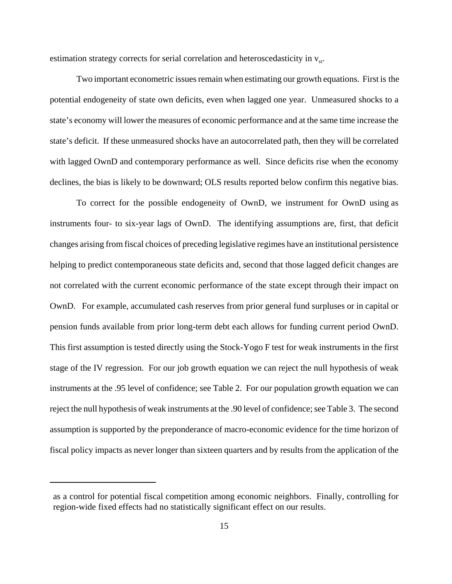estimation strategy corrects for serial correlation and heteroscedasticity in  $v<sub>st</sub>$ .

 Two important econometric issues remain when estimating our growth equations. First is the potential endogeneity of state own deficits, even when lagged one year. Unmeasured shocks to a state's economy will lower the measures of economic performance and at the same time increase the state's deficit. If these unmeasured shocks have an autocorrelated path, then they will be correlated with lagged OwnD and contemporary performance as well. Since deficits rise when the economy declines, the bias is likely to be downward; OLS results reported below confirm this negative bias.

 To correct for the possible endogeneity of OwnD, we instrument for OwnD using as instruments four- to six-year lags of OwnD. The identifying assumptions are, first, that deficit changes arising from fiscal choices of preceding legislative regimes have an institutional persistence helping to predict contemporaneous state deficits and, second that those lagged deficit changes are not correlated with the current economic performance of the state except through their impact on OwnD. For example, accumulated cash reserves from prior general fund surpluses or in capital or pension funds available from prior long-term debt each allows for funding current period OwnD. This first assumption is tested directly using the Stock-Yogo F test for weak instruments in the first stage of the IV regression. For our job growth equation we can reject the null hypothesis of weak instruments at the .95 level of confidence; see Table 2. For our population growth equation we can reject the null hypothesis of weak instruments at the .90 level of confidence; see Table 3. The second assumption is supported by the preponderance of macro-economic evidence for the time horizon of fiscal policy impacts as never longer than sixteen quarters and by results from the application of the

as a control for potential fiscal competition among economic neighbors. Finally, controlling for region-wide fixed effects had no statistically significant effect on our results.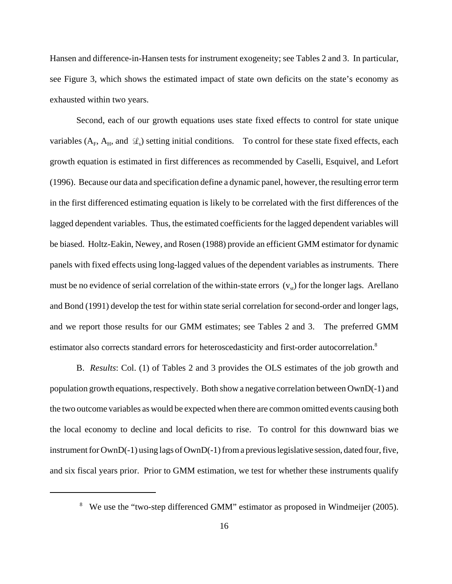Hansen and difference-in-Hansen tests for instrument exogeneity; see Tables 2 and 3. In particular, see Figure 3, which shows the estimated impact of state own deficits on the state's economy as exhausted within two years.

Second, each of our growth equations uses state fixed effects to control for state unique variables ( $A_F$ ,  $A_H$ , and  $\mathcal{L}_s$ ) setting initial conditions. To control for these state fixed effects, each growth equation is estimated in first differences as recommended by Caselli, Esquivel, and Lefort (1996). Because our data and specification define a dynamic panel, however, the resulting error term in the first differenced estimating equation is likely to be correlated with the first differences of the lagged dependent variables. Thus, the estimated coefficients for the lagged dependent variables will be biased. Holtz-Eakin, Newey, and Rosen (1988) provide an efficient GMM estimator for dynamic panels with fixed effects using long-lagged values of the dependent variables as instruments. There must be no evidence of serial correlation of the within-state errors  $(v_{st})$  for the longer lags. Arellano and Bond (1991) develop the test for within state serial correlation for second-order and longer lags, and we report those results for our GMM estimates; see Tables 2 and 3. The preferred GMM estimator also corrects standard errors for heteroscedasticity and first-order autocorrelation.<sup>8</sup>

B. *Results*: Col. (1) of Tables 2 and 3 provides the OLS estimates of the job growth and population growth equations, respectively. Both show a negative correlation between OwnD(-1) and the two outcome variables as would be expected when there are common omitted events causing both the local economy to decline and local deficits to rise. To control for this downward bias we instrument for OwnD(-1) using lags of OwnD(-1) from a previous legislative session, dated four, five, and six fiscal years prior. Prior to GMM estimation, we test for whether these instruments qualify

<sup>&</sup>lt;sup>8</sup> We use the "two-step differenced GMM" estimator as proposed in Windmeijer (2005).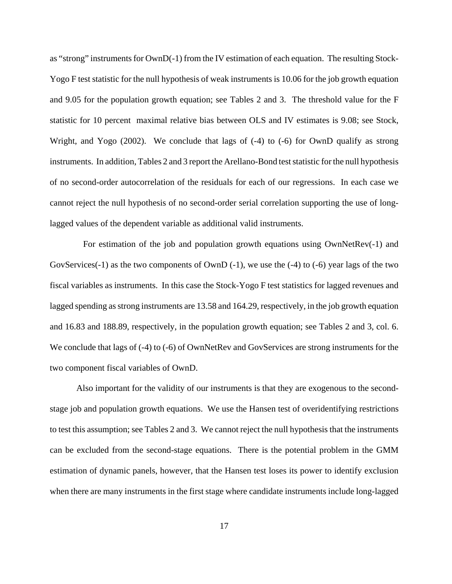as "strong" instruments for OwnD(-1) from the IV estimation of each equation. The resulting Stock-Yogo F test statistic for the null hypothesis of weak instruments is 10.06 for the job growth equation and 9.05 for the population growth equation; see Tables 2 and 3. The threshold value for the F statistic for 10 percent maximal relative bias between OLS and IV estimates is 9.08; see Stock, Wright, and Yogo (2002). We conclude that lags of (-4) to (-6) for OwnD qualify as strong instruments. In addition, Tables 2 and 3 report the Arellano-Bond test statistic for the null hypothesis of no second-order autocorrelation of the residuals for each of our regressions. In each case we cannot reject the null hypothesis of no second-order serial correlation supporting the use of longlagged values of the dependent variable as additional valid instruments.

 For estimation of the job and population growth equations using OwnNetRev(-1) and GovServices(-1) as the two components of OwnD (-1), we use the (-4) to (-6) year lags of the two fiscal variables as instruments. In this case the Stock-Yogo F test statistics for lagged revenues and lagged spending as strong instruments are 13.58 and 164.29, respectively, in the job growth equation and 16.83 and 188.89, respectively, in the population growth equation; see Tables 2 and 3, col. 6. We conclude that lags of  $(-4)$  to  $(-6)$  of OwnNetRev and GovServices are strong instruments for the two component fiscal variables of OwnD.

Also important for the validity of our instruments is that they are exogenous to the secondstage job and population growth equations. We use the Hansen test of overidentifying restrictions to test this assumption; see Tables 2 and 3. We cannot reject the null hypothesis that the instruments can be excluded from the second-stage equations. There is the potential problem in the GMM estimation of dynamic panels, however, that the Hansen test loses its power to identify exclusion when there are many instruments in the first stage where candidate instruments include long-lagged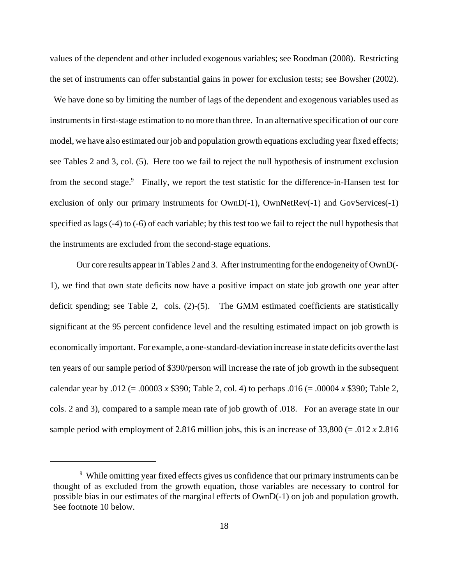values of the dependent and other included exogenous variables; see Roodman (2008). Restricting the set of instruments can offer substantial gains in power for exclusion tests; see Bowsher (2002).

 We have done so by limiting the number of lags of the dependent and exogenous variables used as instruments in first-stage estimation to no more than three. In an alternative specification of our core model, we have also estimated our job and population growth equations excluding year fixed effects; see Tables 2 and 3, col. (5). Here too we fail to reject the null hypothesis of instrument exclusion from the second stage.<sup>9</sup> Finally, we report the test statistic for the difference-in-Hansen test for exclusion of only our primary instruments for OwnD(-1), OwnNetRev(-1) and GovServices(-1) specified as lags (-4) to (-6) of each variable; by this test too we fail to reject the null hypothesis that the instruments are excluded from the second-stage equations.

Our core results appear in Tables 2 and 3. After instrumenting for the endogeneity of OwnD(- 1), we find that own state deficits now have a positive impact on state job growth one year after deficit spending; see Table 2, cols. (2)-(5). The GMM estimated coefficients are statistically significant at the 95 percent confidence level and the resulting estimated impact on job growth is economically important. For example, a one-standard-deviation increase in state deficits over the last ten years of our sample period of \$390/person will increase the rate of job growth in the subsequent calendar year by .012 (= .00003 *x* \$390; Table 2, col. 4) to perhaps .016 (= .00004 *x* \$390; Table 2, cols. 2 and 3), compared to a sample mean rate of job growth of .018. For an average state in our sample period with employment of 2.816 million jobs, this is an increase of 33,800 (= .012 *x* 2.816

<sup>&</sup>lt;sup>9</sup> While omitting year fixed effects gives us confidence that our primary instruments can be thought of as excluded from the growth equation, those variables are necessary to control for possible bias in our estimates of the marginal effects of OwnD(-1) on job and population growth. See footnote 10 below.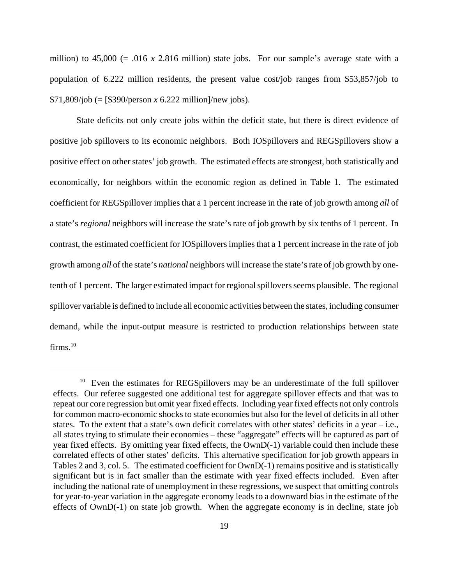million) to 45,000 (= .016 *x* 2.816 million) state jobs. For our sample's average state with a population of 6.222 million residents, the present value cost/job ranges from \$53,857/job to \$71,809/job (= [\$390/person *x* 6.222 million]/new jobs).

State deficits not only create jobs within the deficit state, but there is direct evidence of positive job spillovers to its economic neighbors. Both IOSpillovers and REGSpillovers show a positive effect on other states' job growth. The estimated effects are strongest, both statistically and economically, for neighbors within the economic region as defined in Table 1. The estimated coefficient for REGSpillover implies that a 1 percent increase in the rate of job growth among *all* of a state's *regional* neighbors will increase the state's rate of job growth by six tenths of 1 percent. In contrast, the estimated coefficient for IOSpillovers implies that a 1 percent increase in the rate of job growth among *all* of the state's *national* neighbors will increase the state's rate of job growth by onetenth of 1 percent. The larger estimated impact for regional spillovers seems plausible. The regional spillover variable is defined to include all economic activities between the states, including consumer demand, while the input-output measure is restricted to production relationships between state  $firms.<sup>10</sup>$ 

<sup>&</sup>lt;sup>10</sup> Even the estimates for REGSpillovers may be an underestimate of the full spillover effects. Our referee suggested one additional test for aggregate spillover effects and that was to repeat our core regression but omit year fixed effects. Including year fixed effects not only controls for common macro-economic shocks to state economies but also for the level of deficits in all other states. To the extent that a state's own deficit correlates with other states' deficits in a year – i.e., all states trying to stimulate their economies – these "aggregate" effects will be captured as part of year fixed effects. By omitting year fixed effects, the OwnD(-1) variable could then include these correlated effects of other states' deficits. This alternative specification for job growth appears in Tables 2 and 3, col. 5. The estimated coefficient for OwnD(-1) remains positive and is statistically significant but is in fact smaller than the estimate with year fixed effects included. Even after including the national rate of unemployment in these regressions, we suspect that omitting controls for year-to-year variation in the aggregate economy leads to a downward bias in the estimate of the effects of OwnD(-1) on state job growth. When the aggregate economy is in decline, state job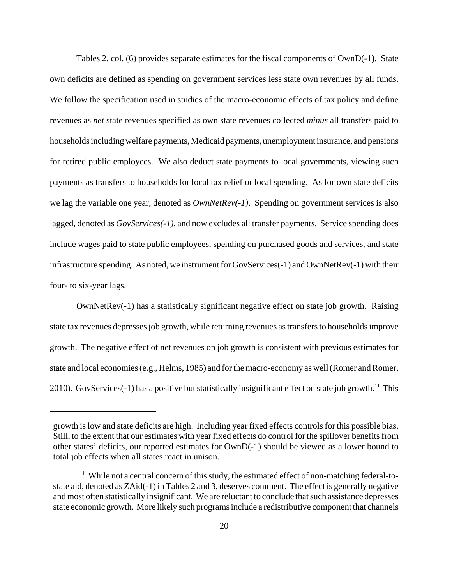Tables 2, col. (6) provides separate estimates for the fiscal components of OwnD(-1). State own deficits are defined as spending on government services less state own revenues by all funds. We follow the specification used in studies of the macro-economic effects of tax policy and define revenues as *net* state revenues specified as own state revenues collected *minus* all transfers paid to households including welfare payments, Medicaid payments, unemployment insurance, and pensions for retired public employees. We also deduct state payments to local governments, viewing such payments as transfers to households for local tax relief or local spending. As for own state deficits we lag the variable one year, denoted as *OwnNetRev(-1)*. Spending on government services is also lagged, denoted as *GovServices(-1)*, and now excludes all transfer payments. Service spending does include wages paid to state public employees, spending on purchased goods and services, and state infrastructure spending. As noted, we instrument for GovServices(-1) and OwnNetRev(-1) with their four- to six-year lags.

OwnNetRev(-1) has a statistically significant negative effect on state job growth. Raising state tax revenues depresses job growth, while returning revenues as transfers to households improve growth. The negative effect of net revenues on job growth is consistent with previous estimates for state and local economies (e.g., Helms, 1985) and for the macro-economy as well (Romer and Romer, 2010). GovServices(-1) has a positive but statistically insignificant effect on state job growth.<sup>11</sup> This

growth is low and state deficits are high. Including year fixed effects controls for this possible bias. Still, to the extent that our estimates with year fixed effects do control for the spillover benefits from other states' deficits, our reported estimates for OwnD(-1) should be viewed as a lower bound to total job effects when all states react in unison.

 $11$  While not a central concern of this study, the estimated effect of non-matching federal-tostate aid, denoted as ZAid(-1) in Tables 2 and 3, deserves comment. The effect is generally negative and most often statistically insignificant. We are reluctant to conclude that such assistance depresses state economic growth. More likely such programs include a redistributive component that channels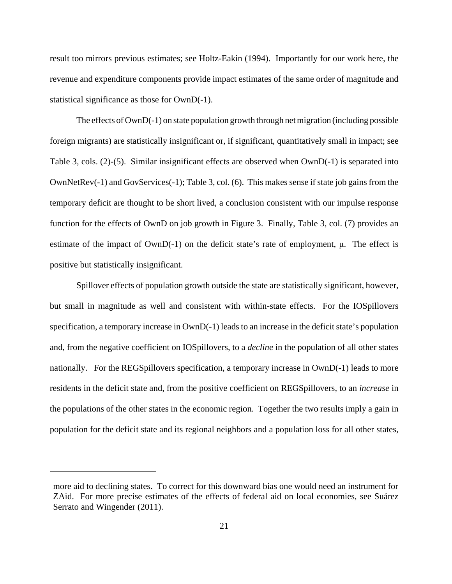result too mirrors previous estimates; see Holtz-Eakin (1994). Importantly for our work here, the revenue and expenditure components provide impact estimates of the same order of magnitude and statistical significance as those for OwnD(-1).

The effects of OwnD(-1) on state population growth through net migration (including possible foreign migrants) are statistically insignificant or, if significant, quantitatively small in impact; see Table 3, cols. (2)-(5). Similar insignificant effects are observed when  $OwnD(-1)$  is separated into OwnNetRev(-1) and GovServices(-1); Table 3, col. (6). This makes sense if state job gains from the temporary deficit are thought to be short lived, a conclusion consistent with our impulse response function for the effects of OwnD on job growth in Figure 3. Finally, Table 3, col. (7) provides an estimate of the impact of OwnD(-1) on the deficit state's rate of employment, μ. The effect is positive but statistically insignificant.

Spillover effects of population growth outside the state are statistically significant, however, but small in magnitude as well and consistent with within-state effects. For the IOSpillovers specification, a temporary increase in OwnD(-1) leads to an increase in the deficit state's population and, from the negative coefficient on IOSpillovers, to a *decline* in the population of all other states nationally. For the REGSpillovers specification, a temporary increase in OwnD(-1) leads to more residents in the deficit state and, from the positive coefficient on REGSpillovers, to an *increase* in the populations of the other states in the economic region. Together the two results imply a gain in population for the deficit state and its regional neighbors and a population loss for all other states,

more aid to declining states. To correct for this downward bias one would need an instrument for ZAid. For more precise estimates of the effects of federal aid on local economies, see Suárez Serrato and Wingender (2011).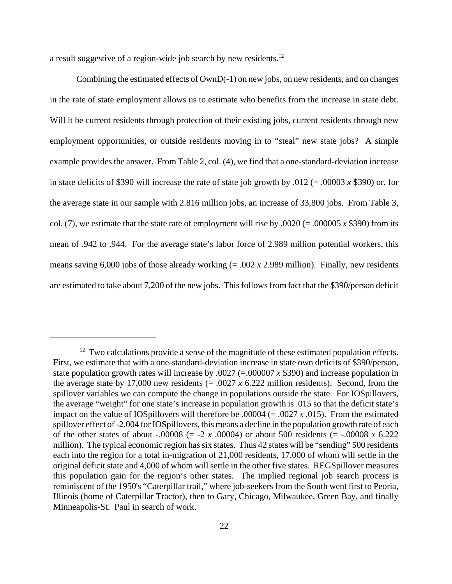a result suggestive of a region-wide job search by new residents.<sup>12</sup>

Combining the estimated effects of OwnD(-1) on new jobs, on new residents, and on changes in the rate of state employment allows us to estimate who benefits from the increase in state debt. Will it be current residents through protection of their existing jobs, current residents through new employment opportunities, or outside residents moving in to "steal" new state jobs? A simple example provides the answer. From Table 2, col. (4), we find that a one-standard-deviation increase in state deficits of \$390 will increase the rate of state job growth by .012 (= .00003 *x* \$390) or, for the average state in our sample with 2.816 million jobs, an increase of 33,800 jobs. From Table 3, col. (7), we estimate that the state rate of employment will rise by .0020 (= .000005  $\chi$  \$390) from its mean of .942 to .944. For the average state's labor force of 2.989 million potential workers, this means saving 6,000 jobs of those already working  $(= .002 \times 2.989 \text{ million})$ . Finally, new residents are estimated to take about 7,200 of the new jobs. This follows from fact that the \$390/person deficit

<sup>&</sup>lt;sup>12</sup> Two calculations provide a sense of the magnitude of these estimated population effects. First, we estimate that with a one-standard-deviation increase in state own deficits of \$390/person, state population growth rates will increase by .0027 (=.000007 *x* \$390) and increase population in the average state by 17,000 new residents  $(= .0027 \times 6.222 \text{ million residents})$ . Second, from the spillover variables we can compute the change in populations outside the state. For IOSpillovers, the average "weight" for one state's increase in population growth is .015 so that the deficit state's impact on the value of IOSpillovers will therefore be .00004 ( $= .0027 x .015$ ). From the estimated spillover effect of -2.004 for IOSpillovers, this means a decline in the population growth rate of each of the other states of about -.00008 (= -2 *x* .00004) or about 500 residents (= -.00008 *x* 6.222 million). The typical economic region has six states. Thus 42 states will be "sending" 500 residents each into the region for a total in-migration of 21,000 residents, 17,000 of whom will settle in the original deficit state and 4,000 of whom will settle in the other five states. REGSpillover measures this population gain for the region's other states. The implied regional job search process is reminiscent of the 1950's "Caterpillar trail," where job-seekers from the South went first to Peoria, Illinois (home of Caterpillar Tractor), then to Gary, Chicago, Milwaukee, Green Bay, and finally Minneapolis-St. Paul in search of work.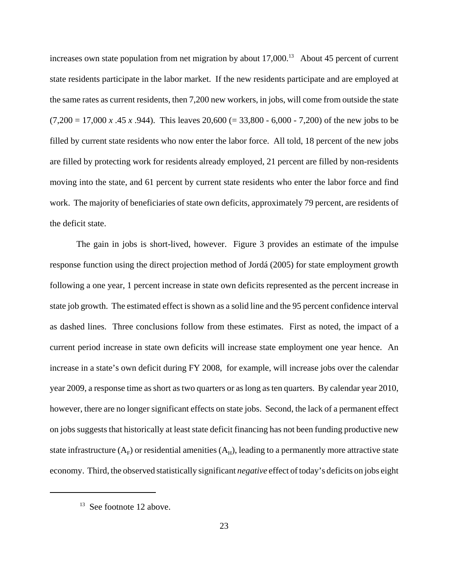increases own state population from net migration by about  $17,000$ .<sup>13</sup> About 45 percent of current state residents participate in the labor market. If the new residents participate and are employed at the same rates as current residents, then 7,200 new workers, in jobs, will come from outside the state  $(7,200 = 17,000 \times .45 \times .944)$ . This leaves  $20,600 (= 33,800 - 6,000 - 7,200)$  of the new jobs to be filled by current state residents who now enter the labor force. All told, 18 percent of the new jobs are filled by protecting work for residents already employed, 21 percent are filled by non-residents moving into the state, and 61 percent by current state residents who enter the labor force and find work. The majority of beneficiaries of state own deficits, approximately 79 percent, are residents of the deficit state.

The gain in jobs is short-lived, however. Figure 3 provides an estimate of the impulse response function using the direct projection method of Jordá (2005) for state employment growth following a one year, 1 percent increase in state own deficits represented as the percent increase in state job growth. The estimated effect is shown as a solid line and the 95 percent confidence interval as dashed lines. Three conclusions follow from these estimates. First as noted, the impact of a current period increase in state own deficits will increase state employment one year hence. An increase in a state's own deficit during FY 2008, for example, will increase jobs over the calendar year 2009, a response time as short as two quarters or as long as ten quarters. By calendar year 2010, however, there are no longer significant effects on state jobs. Second, the lack of a permanent effect on jobs suggests that historically at least state deficit financing has not been funding productive new state infrastructure  $(A_F)$  or residential amenities  $(A_H)$ , leading to a permanently more attractive state economy. Third, the observed statistically significant *negative* effect of today's deficits on jobs eight

<sup>&</sup>lt;sup>13</sup> See footnote 12 above.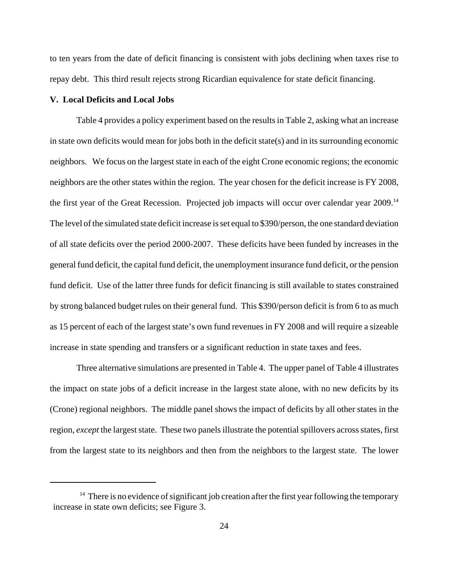to ten years from the date of deficit financing is consistent with jobs declining when taxes rise to repay debt. This third result rejects strong Ricardian equivalence for state deficit financing.

#### **V. Local Deficits and Local Jobs**

Table 4 provides a policy experiment based on the results in Table 2, asking what an increase in state own deficits would mean for jobs both in the deficit state(s) and in its surrounding economic neighbors. We focus on the largest state in each of the eight Crone economic regions; the economic neighbors are the other states within the region. The year chosen for the deficit increase is FY 2008, the first year of the Great Recession. Projected job impacts will occur over calendar year 2009.14 The level of the simulated state deficit increase is set equal to \$390/person, the one standard deviation of all state deficits over the period 2000-2007. These deficits have been funded by increases in the general fund deficit, the capital fund deficit, the unemployment insurance fund deficit, or the pension fund deficit. Use of the latter three funds for deficit financing is still available to states constrained by strong balanced budget rules on their general fund. This \$390/person deficit is from 6 to as much as 15 percent of each of the largest state's own fund revenues in FY 2008 and will require a sizeable increase in state spending and transfers or a significant reduction in state taxes and fees.

Three alternative simulations are presented in Table 4. The upper panel of Table 4 illustrates the impact on state jobs of a deficit increase in the largest state alone, with no new deficits by its (Crone) regional neighbors. The middle panel shows the impact of deficits by all other states in the region, *except* the largest state. These two panels illustrate the potential spillovers across states, first from the largest state to its neighbors and then from the neighbors to the largest state. The lower

 $14$  There is no evidence of significant job creation after the first year following the temporary increase in state own deficits; see Figure 3.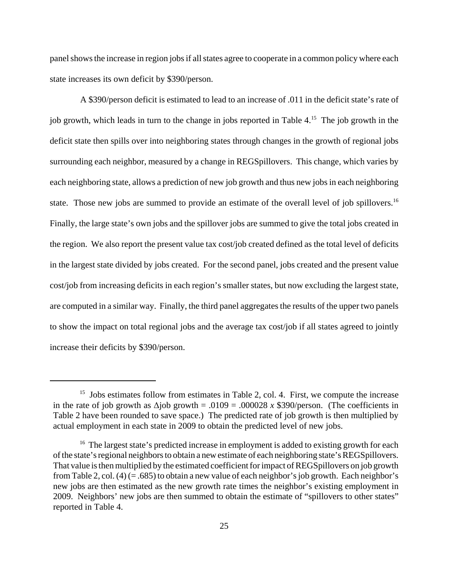panel shows the increase in region jobs if all states agree to cooperate in a common policy where each state increases its own deficit by \$390/person.

 A \$390/person deficit is estimated to lead to an increase of .011 in the deficit state's rate of job growth, which leads in turn to the change in jobs reported in Table 4.15 The job growth in the deficit state then spills over into neighboring states through changes in the growth of regional jobs surrounding each neighbor, measured by a change in REGSpillovers. This change, which varies by each neighboring state, allows a prediction of new job growth and thus new jobs in each neighboring state. Those new jobs are summed to provide an estimate of the overall level of job spillovers.<sup>16</sup> Finally, the large state's own jobs and the spillover jobs are summed to give the total jobs created in the region. We also report the present value tax cost/job created defined as the total level of deficits in the largest state divided by jobs created. For the second panel, jobs created and the present value cost/job from increasing deficits in each region's smaller states, but now excluding the largest state, are computed in a similar way. Finally, the third panel aggregates the results of the upper two panels to show the impact on total regional jobs and the average tax cost/job if all states agreed to jointly increase their deficits by \$390/person.

<sup>&</sup>lt;sup>15</sup> Jobs estimates follow from estimates in Table 2, col. 4. First, we compute the increase in the rate of job growth as  $\Delta$ job growth = .0109 = .000028 *x* \$390/person. (The coefficients in Table 2 have been rounded to save space.) The predicted rate of job growth is then multiplied by actual employment in each state in 2009 to obtain the predicted level of new jobs.

<sup>&</sup>lt;sup>16</sup> The largest state's predicted increase in employment is added to existing growth for each of the state's regional neighbors to obtain a new estimate of each neighboring state's REGSpillovers. That value is then multiplied by the estimated coefficient for impact of REGSpillovers on job growth from Table 2, col. (4) (= .685) to obtain a new value of each neighbor's job growth. Each neighbor's new jobs are then estimated as the new growth rate times the neighbor's existing employment in 2009. Neighbors' new jobs are then summed to obtain the estimate of "spillovers to other states" reported in Table 4.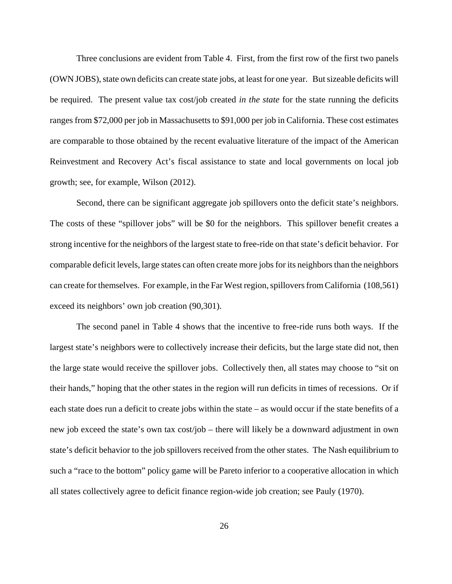Three conclusions are evident from Table 4. First, from the first row of the first two panels (OWN JOBS), state own deficits can create state jobs, at least for one year. But sizeable deficits will be required. The present value tax cost/job created *in the state* for the state running the deficits ranges from \$72,000 per job in Massachusetts to \$91,000 per job in California. These cost estimates are comparable to those obtained by the recent evaluative literature of the impact of the American Reinvestment and Recovery Act's fiscal assistance to state and local governments on local job growth; see, for example, Wilson (2012).

Second, there can be significant aggregate job spillovers onto the deficit state's neighbors. The costs of these "spillover jobs" will be \$0 for the neighbors. This spillover benefit creates a strong incentive for the neighbors of the largest state to free-ride on that state's deficit behavior. For comparable deficit levels, large states can often create more jobs for its neighbors than the neighbors can create for themselves. For example, in the Far West region, spillovers from California (108,561) exceed its neighbors' own job creation (90,301).

The second panel in Table 4 shows that the incentive to free-ride runs both ways. If the largest state's neighbors were to collectively increase their deficits, but the large state did not, then the large state would receive the spillover jobs. Collectively then, all states may choose to "sit on their hands," hoping that the other states in the region will run deficits in times of recessions. Or if each state does run a deficit to create jobs within the state – as would occur if the state benefits of a new job exceed the state's own tax cost/job – there will likely be a downward adjustment in own state's deficit behavior to the job spillovers received from the other states. The Nash equilibrium to such a "race to the bottom" policy game will be Pareto inferior to a cooperative allocation in which all states collectively agree to deficit finance region-wide job creation; see Pauly (1970).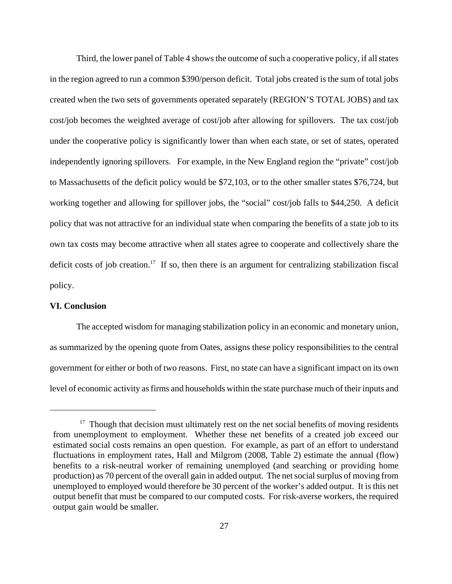Third, the lower panel of Table 4 shows the outcome of such a cooperative policy, if all states in the region agreed to run a common \$390/person deficit. Total jobs created is the sum of total jobs created when the two sets of governments operated separately (REGION'S TOTAL JOBS) and tax cost/job becomes the weighted average of cost/job after allowing for spillovers. The tax cost/job under the cooperative policy is significantly lower than when each state, or set of states, operated independently ignoring spillovers. For example, in the New England region the "private" cost/job to Massachusetts of the deficit policy would be \$72,103, or to the other smaller states \$76,724, but working together and allowing for spillover jobs, the "social" cost/job falls to \$44,250. A deficit policy that was not attractive for an individual state when comparing the benefits of a state job to its own tax costs may become attractive when all states agree to cooperate and collectively share the deficit costs of job creation.<sup>17</sup> If so, then there is an argument for centralizing stabilization fiscal policy.

#### **VI. Conclusion**

The accepted wisdom for managing stabilization policy in an economic and monetary union, as summarized by the opening quote from Oates, assigns these policy responsibilities to the central government for either or both of two reasons. First, no state can have a significant impact on its own level of economic activity as firms and households within the state purchase much of their inputs and

 $17$  Though that decision must ultimately rest on the net social benefits of moving residents from unemployment to employment. Whether these net benefits of a created job exceed our estimated social costs remains an open question. For example, as part of an effort to understand fluctuations in employment rates, Hall and Milgrom (2008, Table 2) estimate the annual (flow) benefits to a risk-neutral worker of remaining unemployed (and searching or providing home production) as 70 percent of the overall gain in added output. The net social surplus of moving from unemployed to employed would therefore be 30 percent of the worker's added output. It is this net output benefit that must be compared to our computed costs. For risk-averse workers, the required output gain would be smaller.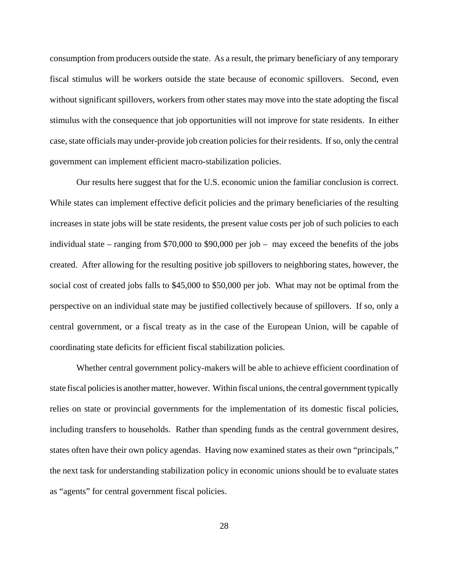consumption from producers outside the state. As a result, the primary beneficiary of any temporary fiscal stimulus will be workers outside the state because of economic spillovers. Second, even without significant spillovers, workers from other states may move into the state adopting the fiscal stimulus with the consequence that job opportunities will not improve for state residents. In either case, state officials may under-provide job creation policies for their residents. If so, only the central government can implement efficient macro-stabilization policies.

Our results here suggest that for the U.S. economic union the familiar conclusion is correct. While states can implement effective deficit policies and the primary beneficiaries of the resulting increases in state jobs will be state residents, the present value costs per job of such policies to each individual state – ranging from \$70,000 to \$90,000 per job – may exceed the benefits of the jobs created. After allowing for the resulting positive job spillovers to neighboring states, however, the social cost of created jobs falls to \$45,000 to \$50,000 per job. What may not be optimal from the perspective on an individual state may be justified collectively because of spillovers. If so, only a central government, or a fiscal treaty as in the case of the European Union, will be capable of coordinating state deficits for efficient fiscal stabilization policies.

Whether central government policy-makers will be able to achieve efficient coordination of state fiscal policies is another matter, however. Within fiscal unions, the central government typically relies on state or provincial governments for the implementation of its domestic fiscal policies, including transfers to households. Rather than spending funds as the central government desires, states often have their own policy agendas. Having now examined states as their own "principals," the next task for understanding stabilization policy in economic unions should be to evaluate states as "agents" for central government fiscal policies.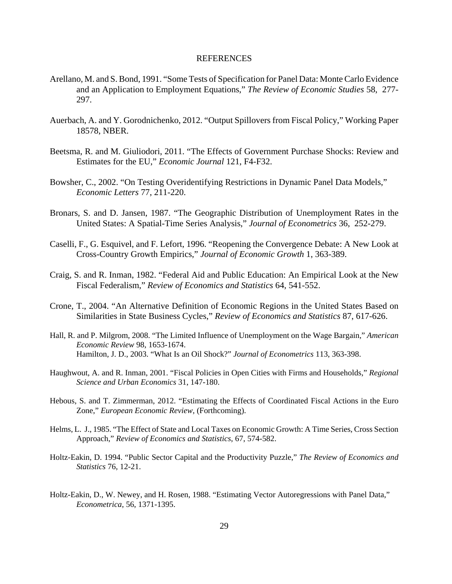#### REFERENCES

- Arellano, M. and S. Bond, 1991. "Some Tests of Specification for Panel Data: Monte Carlo Evidence and an Application to Employment Equations," *The Review of Economic Studies* 58, 277- 297.
- Auerbach, A. and Y. Gorodnichenko, 2012. "Output Spillovers from Fiscal Policy," Working Paper 18578, NBER.
- Beetsma, R. and M. Giuliodori, 2011. "The Effects of Government Purchase Shocks: Review and Estimates for the EU," *Economic Journal* 121, F4-F32.
- Bowsher, C., 2002. "On Testing Overidentifying Restrictions in Dynamic Panel Data Models," *Economic Letters* 77, 211-220.
- Bronars, S. and D. Jansen, 1987. "The Geographic Distribution of Unemployment Rates in the United States: A Spatial-Time Series Analysis," *Journal of Econometrics* 36, 252-279.
- Caselli, F., G. Esquivel, and F. Lefort, 1996. "Reopening the Convergence Debate: A New Look at Cross-Country Growth Empirics," *Journal of Economic Growth* 1, 363-389.
- Craig, S. and R. Inman, 1982. "Federal Aid and Public Education: An Empirical Look at the New Fiscal Federalism," *Review of Economics and Statistics* 64, 541-552.
- Crone, T., 2004. "An Alternative Definition of Economic Regions in the United States Based on Similarities in State Business Cycles," *Review of Economics and Statistics* 87, 617-626.
- Hall, R. and P. Milgrom, 2008. "The Limited Influence of Unemployment on the Wage Bargain," *American Economic Review* 98, 1653-1674. Hamilton, J. D., 2003. "What Is an Oil Shock?" *Journal of Econometrics* 113, 363-398.
- Haughwout, A. and R. Inman, 2001. "Fiscal Policies in Open Cities with Firms and Households," *Regional Science and Urban Economics* 31, 147-180.
- Hebous, S. and T. Zimmerman, 2012. "Estimating the Effects of Coordinated Fiscal Actions in the Euro Zone," *European Economic Review*, (Forthcoming).
- Helms, L. J., 1985. "The Effect of State and Local Taxes on Economic Growth: A Time Series, Cross Section Approach," *Review of Economics and Statistics*, 67, 574-582.
- Holtz-Eakin, D. 1994. "Public Sector Capital and the Productivity Puzzle," *The Review of Economics and Statistics* 76, 12-21.
- Holtz-Eakin, D., W. Newey, and H. Rosen, 1988. "Estimating Vector Autoregressions with Panel Data," *Econometrica*, 56, 1371-1395.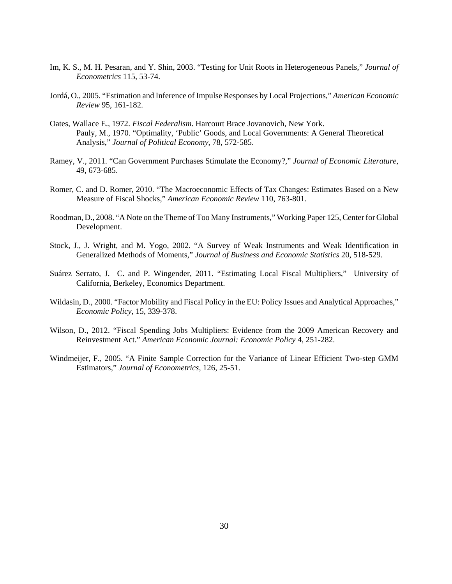- Im, K. S., M. H. Pesaran, and Y. Shin, 2003. "Testing for Unit Roots in Heterogeneous Panels," *Journal of Econometrics* 115, 53-74.
- Jordá, O., 2005. "Estimation and Inference of Impulse Responses by Local Projections," *American Economic Review* 95, 161-182.
- Oates, Wallace E., 1972. *Fiscal Federalism*. Harcourt Brace Jovanovich, New York. Pauly, M., 1970. "Optimality, 'Public' Goods, and Local Governments: A General Theoretical Analysis," *Journal of Political Economy*, 78, 572-585.
- Ramey, V., 2011. "Can Government Purchases Stimulate the Economy?," *Journal of Economic Literature*, 49, 673-685.
- Romer, C. and D. Romer, 2010. "The Macroeconomic Effects of Tax Changes: Estimates Based on a New Measure of Fiscal Shocks," *American Economic Review* 110, 763-801.
- Roodman, D., 2008. "A Note on the Theme of Too Many Instruments," Working Paper 125, Center for Global Development.
- Stock, J., J. Wright, and M. Yogo, 2002. "A Survey of Weak Instruments and Weak Identification in Generalized Methods of Moments," *Journal of Business and Economic Statistics* 20, 518-529.
- Suárez Serrato, J. C. and P. Wingender, 2011. "Estimating Local Fiscal Multipliers," University of California, Berkeley, Economics Department.
- Wildasin, D., 2000. "Factor Mobility and Fiscal Policy in the EU: Policy Issues and Analytical Approaches," *Economic Policy,* 15, 339-378.
- Wilson, D., 2012. "Fiscal Spending Jobs Multipliers: Evidence from the 2009 American Recovery and Reinvestment Act." *American Economic Journal: Economic Policy* 4, 251-282.
- Windmeijer, F., 2005. "A Finite Sample Correction for the Variance of Linear Efficient Two-step GMM Estimators," *Journal of Econometrics*, 126, 25-51.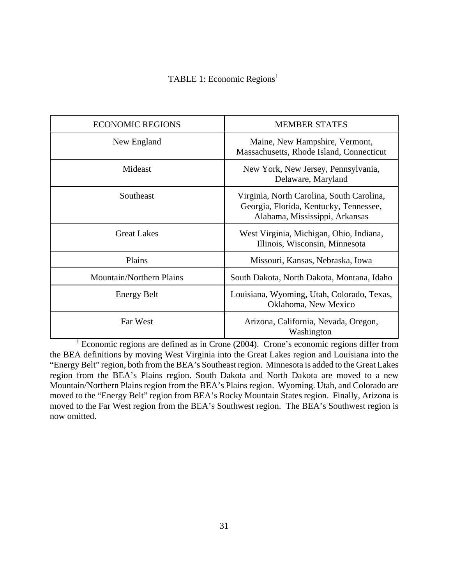| <b>ECONOMIC REGIONS</b>         | <b>MEMBER STATES</b>                                                                                                  |  |  |  |
|---------------------------------|-----------------------------------------------------------------------------------------------------------------------|--|--|--|
| New England                     | Maine, New Hampshire, Vermont,<br>Massachusetts, Rhode Island, Connecticut                                            |  |  |  |
| Mideast                         | New York, New Jersey, Pennsylvania,<br>Delaware, Maryland                                                             |  |  |  |
| Southeast                       | Virginia, North Carolina, South Carolina,<br>Georgia, Florida, Kentucky, Tennessee,<br>Alabama, Mississippi, Arkansas |  |  |  |
| <b>Great Lakes</b>              | West Virginia, Michigan, Ohio, Indiana,<br>Illinois, Wisconsin, Minnesota                                             |  |  |  |
| Plains                          | Missouri, Kansas, Nebraska, Iowa                                                                                      |  |  |  |
| <b>Mountain/Northern Plains</b> | South Dakota, North Dakota, Montana, Idaho                                                                            |  |  |  |
| <b>Energy Belt</b>              | Louisiana, Wyoming, Utah, Colorado, Texas,<br>Oklahoma, New Mexico                                                    |  |  |  |
| Far West                        | Arizona, California, Nevada, Oregon,<br>Washington                                                                    |  |  |  |

<sup>†</sup> Economic regions are defined as in Crone (2004). Crone's economic regions differ from the BEA definitions by moving West Virginia into the Great Lakes region and Louisiana into the "Energy Belt" region, both from the BEA's Southeast region. Minnesota is added to the Great Lakes region from the BEA's Plains region. South Dakota and North Dakota are moved to a new Mountain/Northern Plains region from the BEA's Plains region. Wyoming. Utah, and Colorado are moved to the "Energy Belt" region from BEA's Rocky Mountain States region. Finally, Arizona is moved to the Far West region from the BEA's Southwest region. The BEA's Southwest region is now omitted.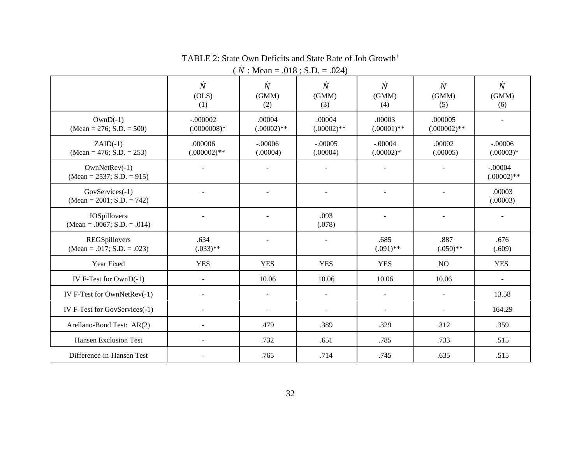|                                              | $\overline{N}$<br>(OLS)<br>(1) | $\dot{N}$<br>(GMM)<br>(2) | $\dot{N}$<br>(GMM)<br>(3) | $\dot{N}$<br>(GMM)<br>(4) | $\dot{N}$<br>(GMM)<br>(5) | $\dot{N}$<br>(GMM)<br>(6)  |
|----------------------------------------------|--------------------------------|---------------------------|---------------------------|---------------------------|---------------------------|----------------------------|
| $OwnD(-1)$<br>(Mean = 276; S.D. = 500)       | $-.000002$<br>$(.0000008)*$    | .00004<br>$(.00002)$ **   | .00004<br>$(.00002)$ **   | .00003<br>$(.00001)$ **   | .000005<br>$(.000002)$ ** |                            |
| $ZAID(-1)$<br>(Mean = 476; S.D. = 253)       | .000006<br>$(.000002)$ **      | $-.00006$<br>(.00004)     | $-.00005$<br>(.00004)     | $-.00004$<br>$(.00002)*$  | .00002<br>(.00005)        | $-.00006$<br>$(.00003)*$   |
| OwnNetRev(-1)<br>(Mean = 2537; S.D. = 915)   |                                |                           | $\overline{a}$            | $\sim$                    |                           | $-.00004$<br>$(.00002)$ ** |
| GovServices(-1)<br>(Mean = 2001; S.D. = 742) |                                |                           |                           |                           |                           | .00003<br>(.00003)         |
| IOSpillovers<br>(Mean = .0067; S.D. = .014)  |                                |                           | .093<br>(.078)            |                           |                           |                            |
| REGSpillovers<br>(Mean = .017; S.D. = .023)  | .634<br>$(.033)$ **            |                           | $\blacksquare$            | .685<br>$(.091)$ **       | .887<br>$(.050)$ **       | .676<br>(.609)             |
| Year Fixed                                   | <b>YES</b>                     | <b>YES</b>                | <b>YES</b><br><b>YES</b>  |                           | <b>NO</b>                 | <b>YES</b>                 |
| IV F-Test for $OwnD(-1)$                     |                                | 10.06                     | 10.06                     | 10.06                     | 10.06                     | $\blacksquare$             |
| IV F-Test for OwnNetRev(-1)                  |                                | $\sim$                    | $\blacksquare$            | $\sim$                    |                           | 13.58                      |
| IV F-Test for GovServices(-1)                |                                |                           | $\blacksquare$            | $\sim$                    | ÷.                        | 164.29                     |
| Arellano-Bond Test: AR(2)                    |                                | .479                      | .389                      | .329                      | .312                      | .359                       |
| <b>Hansen Exclusion Test</b>                 |                                | .732                      | .651                      | .785                      | .733                      | .515                       |
| Difference-in-Hansen Test                    |                                | .765                      | .714                      | .745                      | .635                      | .515                       |

TABLE 2: State Own Deficits and State Rate of Job Growth†  $(\dot{N} : \text{Mean} = .018 ; S.D. = .024)$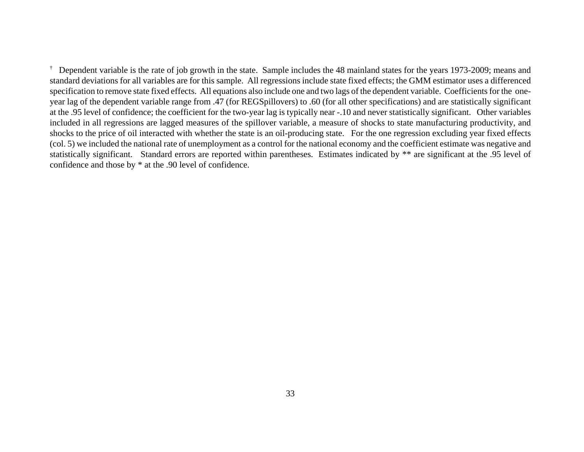$\dagger$  Dependent variable is the rate of job growth in the state. Sample includes the 48 mainland states for the years 1973-2009; means and standard deviations for all variables are for this sample. All regressions include state fixed effects; the GMM estimator uses a differenced specification to remove state fixed effects. All equations also include one and two lags of the dependent variable. Coefficients for the oneyear lag of the dependent variable range from .47 (for REGSpillovers) to .60 (for all other specifications) and are statistically significant at the .95 level of confidence; the coefficient for the two-year lag is typically near -.10 and never statistically significant. Other variables included in all regressions are lagged measures of the spillover variable, a measure of shocks to state manufacturing productivity, and shocks to the price of oil interacted with whether the state is an oil-producing state. For the one regression excluding year fixed effects (col. 5) we included the national rate of unemployment as a control for the national economy and the coefficient estimate was negative and statistically significant. Standard errors are reported within parentheses. Estimates indicated by \*\* are significant at the .95 level of confidence and those by \* at the .90 level of confidence.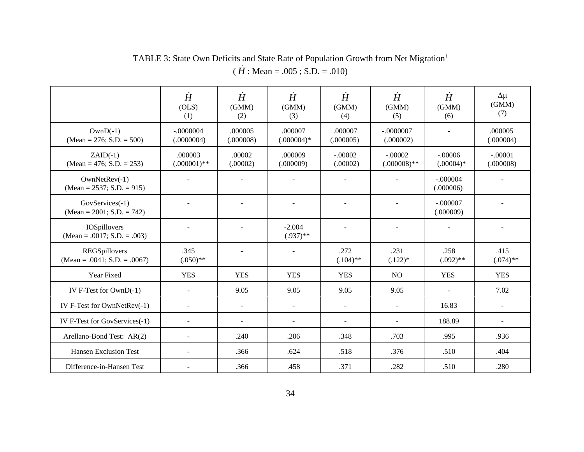TABLE 3: State Own Deficits and State Rate of Population Growth from Net Migration†

 $(\dot{H} : \text{Mean} = .005 ; S.D. = .010)$ 

|                                                     | $\dot{H}$<br>(OLS)<br>(1) | $\dot{H}$<br>(GMM)<br>(2) | $\dot{H}$<br>(GMM)<br>(3) | $\dot{H}$<br>(GMM)<br>(4) | $\dot{H}$<br>(GMM)<br>(5)   | $\dot{H}$<br>(GMM)<br>(6) | $\Delta \mu$<br>(GMM)<br>(7) |
|-----------------------------------------------------|---------------------------|---------------------------|---------------------------|---------------------------|-----------------------------|---------------------------|------------------------------|
| $OwnD(-1)$<br>$(Mean = 276; S.D. = 500)$            | $-.0000004$<br>(.0000004) | .000005<br>(.000008)      | .000007<br>$(.000004)*$   | .000007<br>(.000005)      | $-.0000007$<br>(.000002)    |                           | .000005<br>(.000004)         |
| $ZAID(-1)$<br>$(Mean = 476; S.D. = 253)$            | .000003<br>$(.000001)$ ** | .00002<br>(.00002)        | .000009<br>(.000009)      | $-.00002$<br>(.00002)     | $-.00002$<br>$(.000008)$ ** | $-.00006$<br>$(.00004)*$  | $-.00001$<br>(.000008)       |
| $OwnNetRev(-1)$<br>(Mean = 2537; S.D. = 915)        |                           |                           | $\blacksquare$            | $\overline{\phantom{a}}$  |                             | $-.000004$<br>(.000006)   |                              |
| GovServices(-1)<br>(Mean = 2001; S.D. = 742)        |                           |                           |                           |                           |                             | $-.000007$<br>(.000009)   |                              |
| IOSpillovers<br>(Mean = .0017; S.D. = .003)         |                           |                           | $-2.004$<br>$(.937)$ **   |                           |                             |                           |                              |
| REGSpillovers<br>(Mean = $.0041$ ; S.D. = $.0067$ ) | .345<br>$(.050)$ **       |                           |                           | .272<br>$(.104)$ **       | .231<br>$(.122)*$           | .258<br>$(.092)$ **       | .415<br>$(.074)$ **          |
| Year Fixed                                          | <b>YES</b>                | <b>YES</b>                | <b>YES</b>                | <b>YES</b>                | N <sub>O</sub>              | <b>YES</b>                | <b>YES</b>                   |
| IV F-Test for $OwnD(-1)$                            | $\sim$                    | 9.05                      | 9.05                      | 9.05                      | 9.05                        | $\blacksquare$            | 7.02                         |
| IV F-Test for OwnNetRev(-1)                         | $\sim$                    | $\blacksquare$            | ÷                         | $\overline{a}$            | $\blacksquare$              | 16.83                     | $\blacksquare$               |
| IV F-Test for GovServices(-1)                       | $\sim$                    | $\sim$                    | $\blacksquare$            | $\blacksquare$            | $\blacksquare$              | 188.89                    | $\blacksquare$               |
| Arellano-Bond Test: AR(2)                           |                           | .240                      | .206                      | .348                      | .703                        | .995                      | .936                         |
| Hansen Exclusion Test                               | $\blacksquare$            | .366                      | .624                      | .518                      | .376                        | .510                      | .404                         |
| Difference-in-Hansen Test                           |                           | .366                      | .458                      | .371                      | .282                        | .510                      | .280                         |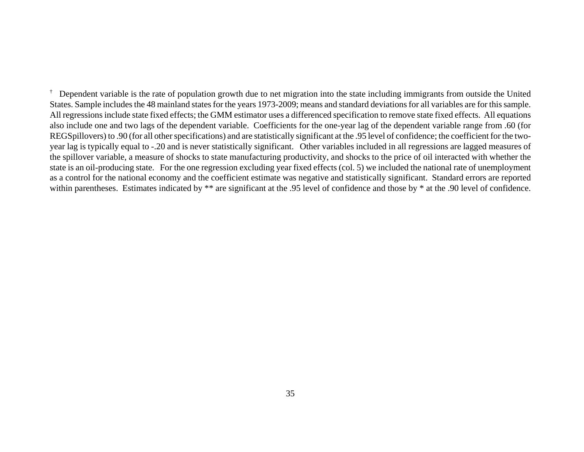$\dagger$  Dependent variable is the rate of population growth due to net migration into the state including immigrants from outside the United States. Sample includes the 48 mainland states for the years 1973-2009; means and standard deviations for all variables are for this sample. All regressions include state fixed effects; the GMM estimator uses a differenced specification to remove state fixed effects. All equations also include one and two lags of the dependent variable. Coefficients for the one-year lag of the dependent variable range from .60 (for REGSpillovers) to .90 (for all other specifications) and are statistically significant at the .95 level of confidence; the coefficient for the twoyear lag is typically equal to -.20 and is never statistically significant. Other variables included in all regressions are lagged measures of the spillover variable, a measure of shocks to state manufacturing productivity, and shocks to the price of oil interacted with whether the state is an oil-producing state. For the one regression excluding year fixed effects (col. 5) we included the national rate of unemployment as a control for the national economy and the coefficient estimate was negative and statistically significant. Standard errors are reported within parentheses. Estimates indicated by \*\* are significant at the .95 level of confidence and those by \* at the .90 level of confidence.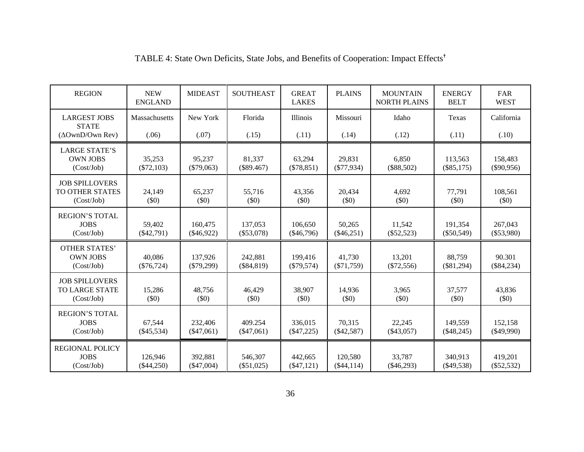| <b>REGION</b>                                                | <b>NEW</b><br><b>ENGLAND</b> | <b>MIDEAST</b>          | <b>SOUTHEAST</b>        | <b>GREAT</b><br><b>LAKES</b> | <b>PLAINS</b>          | <b>MOUNTAIN</b><br><b>NORTH PLAINS</b> | <b>ENERGY</b><br><b>BELT</b> | FAR<br><b>WEST</b>      |
|--------------------------------------------------------------|------------------------------|-------------------------|-------------------------|------------------------------|------------------------|----------------------------------------|------------------------------|-------------------------|
| <b>LARGEST JOBS</b><br><b>STATE</b>                          | Massachusetts                | New York                | Florida                 | Illinois                     | Missouri               | Idaho                                  | Texas                        | California              |
| $(\Delta$ OwnD/Own Rev)                                      | (.06)                        | (.07)                   | (.15)                   | (.11)                        | (.14)                  | (.12)                                  | (.11)                        | (.10)                   |
| <b>LARGE STATE'S</b><br><b>OWN JOBS</b><br>(Cost/Job)        | 35,253<br>$(\$72,103)$       | 95,237<br>$(\$79,063)$  | 81,337<br>$(\$89.467)$  | 63,294<br>$(\$78,851)$       | 29,831<br>$(\$77,934)$ | 6,850<br>$(\$88,502)$                  | 113,563<br>$(\$85,175)$      | 158,483<br>$(\$90,956)$ |
| <b>JOB SPILLOVERS</b><br>TO OTHER STATES<br>(Cost/Job)       | 24,149<br>$($ \$0)           | 65,237<br>$($ \$0)      | 55,716<br>$(\$0)$       | 43,356<br>(50)               | 20,434<br>(50)         | 4,692<br>$($ \$0)                      | 77,791<br>$(\$0)$            | 108,561<br>$(\$0)$      |
| <b>REGION'S TOTAL</b><br><b>JOBS</b><br>(Cost/Job)           | 59,402<br>$(\$42,791)$       | 160,475<br>$(\$46,922)$ | 137,053<br>$(\$53,078)$ | 106,650<br>$(\$46,796)$      | 50,265<br>$(\$46,251)$ | 11,542<br>$(\$52,523)$                 | 191,354<br>$(\$50,549)$      | 267,043<br>$(\$53,980)$ |
| <b>OTHER STATES'</b><br><b>OWN JOBS</b><br>(Cost/Job)        | 40,086<br>$(\$76,724)$       | 137,926<br>$(\$79,299)$ | 242,881<br>$(\$84,819)$ | 199,416<br>$(\$79,574)$      | 41,730<br>$(\$71,759)$ | 13,201<br>$(\$72,556)$                 | 88,759<br>$(\$81,294)$       | 90.301<br>$(\$84,234)$  |
| <b>JOB SPILLOVERS</b><br><b>TO LARGE STATE</b><br>(Cost/Job) | 15,286<br>(50)               | 48,756<br>$($ \$0)      | 46,429<br>(50)          | 38,907<br>(50)               | 14,936<br>(50)         | 3,965<br>$(\$0)$                       | 37,577<br>$(\$0)$            | 43,836<br>$(\$0)$       |
| <b>REGION'S TOTAL</b><br><b>JOBS</b><br>(Cost/Job)           | 67,544<br>$(\$45,534)$       | 232,406<br>$(\$47,061)$ | 409.254<br>$(\$47,061)$ | 336,015<br>$(\$47,225)$      | 70,315<br>$(\$42,587)$ | 22,245<br>$(\$43,057)$                 | 149,559<br>$(\$48,245)$      | 152,158<br>$(\$49,990)$ |
| <b>REGIONAL POLICY</b><br><b>JOBS</b><br>(Cost/Job)          | 126,946<br>$(\$44,250)$      | 392,881<br>$(\$47,004)$ | 546,307<br>$(\$51,025)$ | 442.665<br>$(\$47,121)$      | 120,580<br>(\$44,114)  | 33,787<br>$(\$46,293)$                 | 340,913<br>$(\$49,538)$      | 419,201<br>$(\$52,532)$ |

# TABLE 4: State Own Deficits, State Jobs, and Benefits of Cooperation: Impact Effects^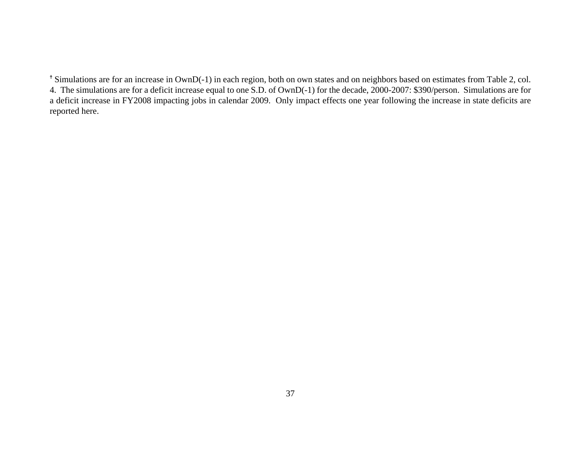<sup>&</sup>lt;sup>+</sup> Simulations are for an increase in OwnD(-1) in each region, both on own states and on neighbors based on estimates from Table 2, col. 4. The simulations are for a deficit increase equal to one S.D. of OwnD(-1) for the decade, 2000-2007: \$390/person. Simulations are for a deficit increase in FY2008 impacting jobs in calendar 2009. Only impact effects one year following the increase in state deficits are reported here.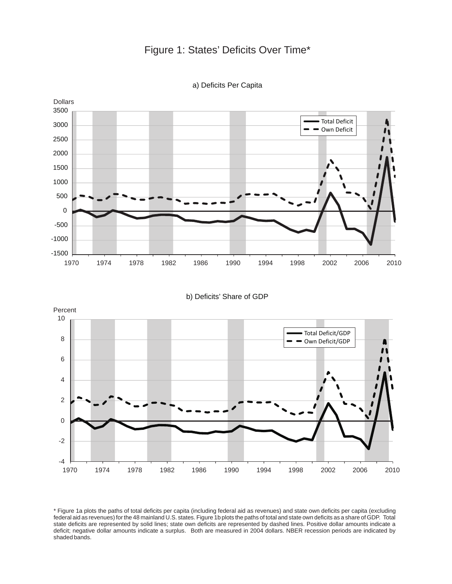## Figure 1: States' Deficits Over Time\*



a) Deficits Per Capita

b) Deficits' Share of GDP



\* Figure 1a plots the paths of total deficits per capita (including federal aid as revenues) and state own deficits per capita (excluding federal aid as revenues) for the 48 mainland U.S. states. Figure 1b plots the paths of total and state own deficits as a share of GDP. Total state deficits are represented by solid lines; state own deficits are represented by dashed lines. Positive dollar amounts indicate a deficit; negative dollar amounts indicate a surplus. Both are measured in 2004 dollars. NBER recession periods are indicated by shaded bands.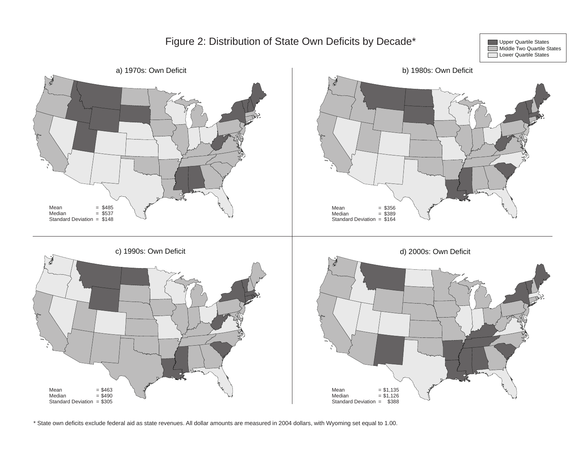Figure 2: Distribution of State Own Deficits by Decade\*





\* State own deficits exclude federal aid as state revenues. All dollar amounts are measured in 2004 dollars, with Wyoming set equal to 1.00.